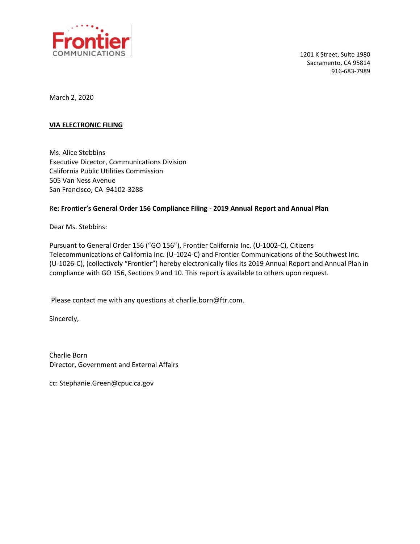

1201 K Street, Suite 1980 Sacramento, CA 95814 916-683-7989

March 2, 2020

#### **VIA ELECTRONIC FILING**

Ms. Alice Stebbins Executive Director, Communications Division California Public Utilities Commission 505 Van Ness Avenue San Francisco, CA 94102-3288

#### R**e: Frontier's General Order 156 Compliance Filing - 2019 Annual Report and Annual Plan**

Dear Ms. Stebbins:

Pursuant to General Order 156 ("GO 156"), Frontier California Inc. (U-1002-C), Citizens Telecommunications of California Inc. (U-1024-C) and Frontier Communications of the Southwest Inc. (U-1026-C), (collectively "Frontier") hereby electronically files its 2019 Annual Report and Annual Plan in compliance with GO 156, Sections 9 and 10. This report is available to others upon request.

Please contact me with any questions at charlie.born@ftr.com.

Sincerely,

Charlie Born Director, Government and External Affairs

cc: Stephanie.Green@cpuc.ca.gov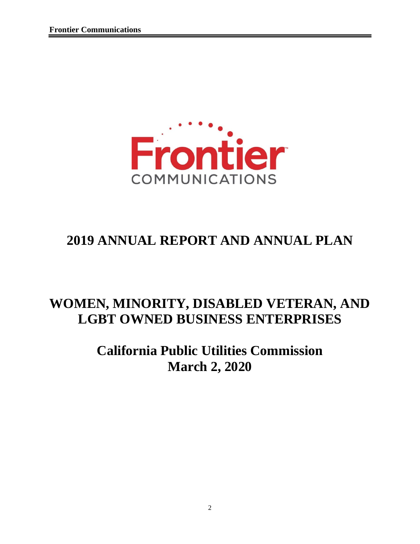

# **2019 ANNUAL REPORT AND ANNUAL PLAN**

# **WOMEN, MINORITY, DISABLED VETERAN, AND LGBT OWNED BUSINESS ENTERPRISES**

# **California Public Utilities Commission March 2, 2020**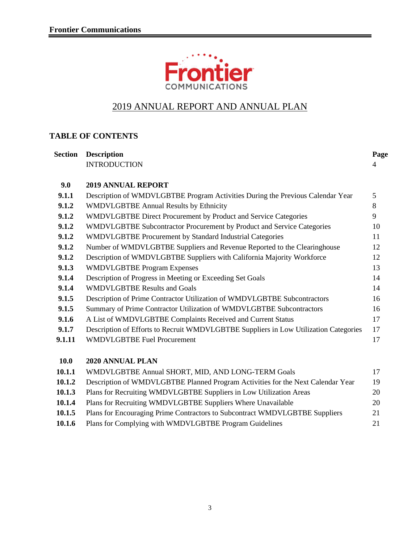

## 2019 ANNUAL REPORT AND ANNUAL PLAN

### **TABLE OF CONTENTS**

| <b>Section</b> | <b>Description</b>                                                                   | Page |
|----------------|--------------------------------------------------------------------------------------|------|
|                | <b>INTRODUCTION</b>                                                                  | 4    |
| 9.0            | <b>2019 ANNUAL REPORT</b>                                                            |      |
| 9.1.1          | Description of WMDVLGBTBE Program Activities During the Previous Calendar Year       | 5    |
| 9.1.2          | <b>WMDVLGBTBE Annual Results by Ethnicity</b>                                        | 8    |
| 9.1.2          | WMDVLGBTBE Direct Procurement by Product and Service Categories                      | 9    |
| 9.1.2          | WMDVLGBTBE Subcontractor Procurement by Product and Service Categories               | 10   |
| 9.1.2          | <b>WMDVLGBTBE Procurement by Standard Industrial Categories</b>                      | 11   |
| 9.1.2          | Number of WMDVLGBTBE Suppliers and Revenue Reported to the Clearinghouse             | 12   |
| 9.1.2          | Description of WMDVLGBTBE Suppliers with California Majority Workforce               | 12   |
| 9.1.3          | <b>WMDVLGBTBE Program Expenses</b>                                                   | 13   |
| 9.1.4          | Description of Progress in Meeting or Exceeding Set Goals                            | 14   |
| 9.1.4          | <b>WMDVLGBTBE Results and Goals</b>                                                  | 14   |
| 9.1.5          | Description of Prime Contractor Utilization of WMDVLGBTBE Subcontractors             | 16   |
| 9.1.5          | Summary of Prime Contractor Utilization of WMDVLGBTBE Subcontractors                 | 16   |
| 9.1.6          | A List of WMDVLGBTBE Complaints Received and Current Status                          | 17   |
| 9.1.7          | Description of Efforts to Recruit WMDVLGBTBE Suppliers in Low Utilization Categories | 17   |
| 9.1.11         | <b>WMDVLGBTBE Fuel Procurement</b>                                                   | 17   |
| <b>10.0</b>    | 2020 ANNUAL PLAN                                                                     |      |
| 10.1.1         | WMDVLGBTBE Annual SHORT, MID, AND LONG-TERM Goals                                    | 17   |
| 10.1.2         | Description of WMDVLGBTBE Planned Program Activities for the Next Calendar Year      | 19   |
| 10.1.3         | Plans for Recruiting WMDVLGBTBE Suppliers in Low Utilization Areas                   | 20   |
| 10.1.4         | Plans for Recruiting WMDVLGBTBE Suppliers Where Unavailable                          | 20   |

| 10.1.5 | Plans for Encouraging Prime Contractors to Subcontract WMDVLGBTBE Suppliers | 21 |
|--------|-----------------------------------------------------------------------------|----|
| 10.1.6 | Plans for Complying with WMDVLGBTBE Program Guidelines                      |    |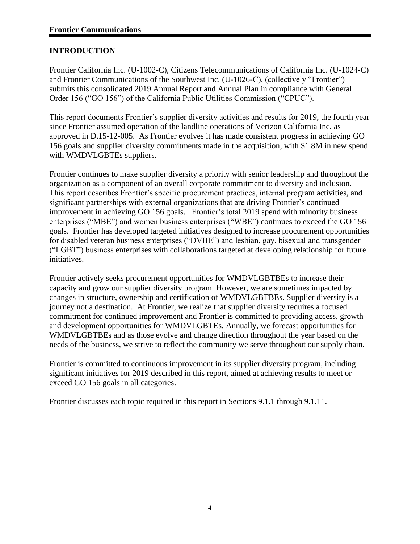#### **INTRODUCTION**

Frontier California Inc. (U-1002-C), Citizens Telecommunications of California Inc. (U-1024-C) and Frontier Communications of the Southwest Inc. (U-1026-C), (collectively "Frontier") submits this consolidated 2019 Annual Report and Annual Plan in compliance with General Order 156 ("GO 156") of the California Public Utilities Commission ("CPUC").

This report documents Frontier's supplier diversity activities and results for 2019, the fourth year since Frontier assumed operation of the landline operations of Verizon California Inc. as approved in D.15-12-005. As Frontier evolves it has made consistent progress in achieving GO 156 goals and supplier diversity commitments made in the acquisition, with \$1.8M in new spend with WMDVLGBTEs suppliers.

Frontier continues to make supplier diversity a priority with senior leadership and throughout the organization as a component of an overall corporate commitment to diversity and inclusion. This report describes Frontier's specific procurement practices, internal program activities, and significant partnerships with external organizations that are driving Frontier's continued improvement in achieving GO 156 goals. Frontier's total 2019 spend with minority business enterprises ("MBE") and women business enterprises ("WBE") continues to exceed the GO 156 goals. Frontier has developed targeted initiatives designed to increase procurement opportunities for disabled veteran business enterprises ("DVBE") and lesbian, gay, bisexual and transgender ("LGBT") business enterprises with collaborations targeted at developing relationship for future initiatives.

Frontier actively seeks procurement opportunities for WMDVLGBTBEs to increase their capacity and grow our supplier diversity program. However, we are sometimes impacted by changes in structure, ownership and certification of WMDVLGBTBEs. Supplier diversity is a journey not a destination. At Frontier, we realize that supplier diversity requires a focused commitment for continued improvement and Frontier is committed to providing access, growth and development opportunities for WMDVLGBTEs. Annually, we forecast opportunities for WMDVLGBTBEs and as those evolve and change direction throughout the year based on the needs of the business, we strive to reflect the community we serve throughout our supply chain.

Frontier is committed to continuous improvement in its supplier diversity program, including significant initiatives for 2019 described in this report, aimed at achieving results to meet or exceed GO 156 goals in all categories.

Frontier discusses each topic required in this report in Sections 9.1.1 through 9.1.11.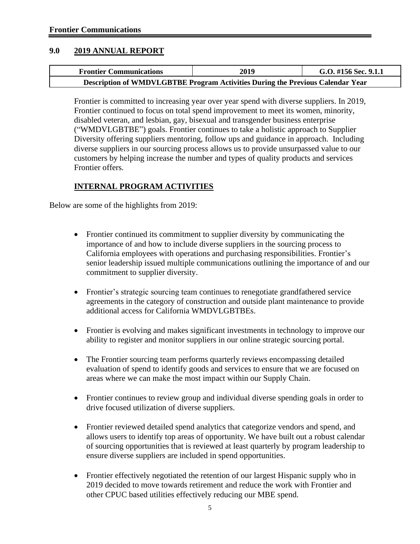#### **9.0 2019 ANNUAL REPORT**

| <b>Frontier Communications</b>                                                 | 2019 | G.O. #156 Sec. 9.1.1 |  |  |  |  |
|--------------------------------------------------------------------------------|------|----------------------|--|--|--|--|
| Description of WMDVLGBTBE Program Activities During the Previous Calendar Year |      |                      |  |  |  |  |

Frontier is committed to increasing year over year spend with diverse suppliers. In 2019, Frontier continued to focus on total spend improvement to meet its women, minority, disabled veteran, and lesbian, gay, bisexual and transgender business enterprise ("WMDVLGBTBE") goals. Frontier continues to take a holistic approach to Supplier Diversity offering suppliers mentoring, follow ups and guidance in approach. Including diverse suppliers in our sourcing process allows us to provide unsurpassed value to our customers by helping increase the number and types of quality products and services Frontier offers.

#### **INTERNAL PROGRAM ACTIVITIES**

Below are some of the highlights from 2019:

- Frontier continued its commitment to supplier diversity by communicating the importance of and how to include diverse suppliers in the sourcing process to California employees with operations and purchasing responsibilities. Frontier's senior leadership issued multiple communications outlining the importance of and our commitment to supplier diversity.
- Frontier's strategic sourcing team continues to renegotiate grandfathered service agreements in the category of construction and outside plant maintenance to provide additional access for California WMDVLGBTBEs.
- Frontier is evolving and makes significant investments in technology to improve our ability to register and monitor suppliers in our online strategic sourcing portal.
- The Frontier sourcing team performs quarterly reviews encompassing detailed evaluation of spend to identify goods and services to ensure that we are focused on areas where we can make the most impact within our Supply Chain.
- Frontier continues to review group and individual diverse spending goals in order to drive focused utilization of diverse suppliers.
- Frontier reviewed detailed spend analytics that categorize vendors and spend, and allows users to identify top areas of opportunity. We have built out a robust calendar of sourcing opportunities that is reviewed at least quarterly by program leadership to ensure diverse suppliers are included in spend opportunities.
- Frontier effectively negotiated the retention of our largest Hispanic supply who in 2019 decided to move towards retirement and reduce the work with Frontier and other CPUC based utilities effectively reducing our MBE spend.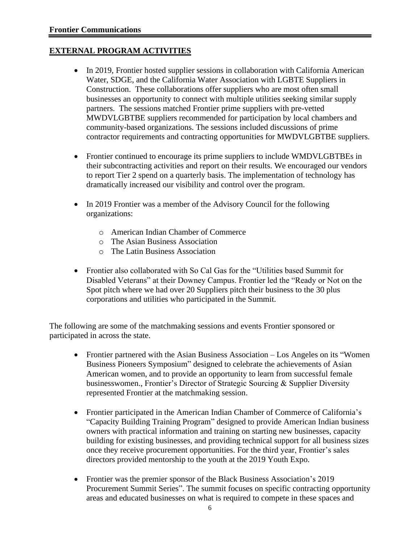#### **EXTERNAL PROGRAM ACTIVITIES**

- In 2019, Frontier hosted supplier sessions in collaboration with California American Water, SDGE, and the California Water Association with LGBTE Suppliers in Construction. These collaborations offer suppliers who are most often small businesses an opportunity to connect with multiple utilities seeking similar supply partners. The sessions matched Frontier prime suppliers with pre-vetted MWDVLGBTBE suppliers recommended for participation by local chambers and community-based organizations. The sessions included discussions of prime contractor requirements and contracting opportunities for MWDVLGBTBE suppliers.
- Frontier continued to encourage its prime suppliers to include WMDVLGBTBEs in their subcontracting activities and report on their results. We encouraged our vendors to report Tier 2 spend on a quarterly basis. The implementation of technology has dramatically increased our visibility and control over the program.
- In 2019 Frontier was a member of the Advisory Council for the following organizations:
	- o American Indian Chamber of Commerce
	- o The Asian Business Association
	- o The Latin Business Association
- Frontier also collaborated with So Cal Gas for the "Utilities based Summit for Disabled Veterans" at their Downey Campus. Frontier led the "Ready or Not on the Spot pitch where we had over 20 Suppliers pitch their business to the 30 plus corporations and utilities who participated in the Summit.

The following are some of the matchmaking sessions and events Frontier sponsored or participated in across the state.

- Frontier partnered with the Asian Business Association Los Angeles on its "Women" Business Pioneers Symposium" designed to celebrate the achievements of Asian American women, and to provide an opportunity to learn from successful female businesswomen., Frontier's Director of Strategic Sourcing & Supplier Diversity represented Frontier at the matchmaking session.
- Frontier participated in the American Indian Chamber of Commerce of California's "Capacity Building Training Program" designed to provide American Indian business owners with practical information and training on starting new businesses, capacity building for existing businesses, and providing technical support for all business sizes once they receive procurement opportunities. For the third year, Frontier's sales directors provided mentorship to the youth at the 2019 Youth Expo.
- Frontier was the premier sponsor of the Black Business Association's 2019 Procurement Summit Series". The summit focuses on specific contracting opportunity areas and educated businesses on what is required to compete in these spaces and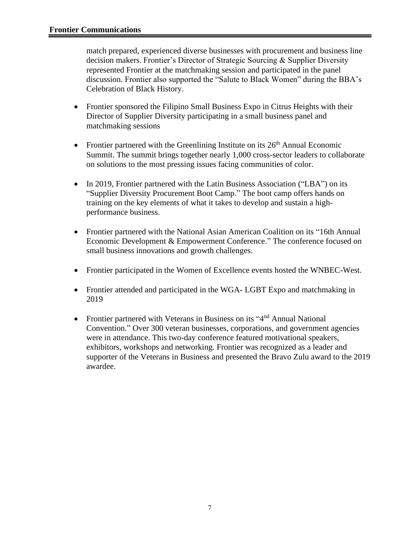match prepared, experienced diverse businesses with procurement and business line decision makers. Frontier's Director of Strategic Sourcing & Supplier Diversity represented Frontier at the matchmaking session and participated in the panel discussion. Frontier also supported the "Salute to Black Women" during the BBA's Celebration of Black History.

- Frontier sponsored the Filipino Small Business Expo in Citrus Heights with their Director of Supplier Diversity participating in a small business panel and matchmaking sessions
- Frontier partnered with the Greenlining Institute on its  $26<sup>th</sup>$  Annual Economic Summit. The summit brings together nearly 1,000 cross-sector leaders to collaborate on solutions to the most pressing issues facing communities of color.
- In 2019, Frontier partnered with the Latin Business Association ("LBA") on its "Supplier Diversity Procurement Boot Camp." The boot camp offers hands on training on the key elements of what it takes to develop and sustain a highperformance business.
- Frontier partnered with the National Asian American Coalition on its "16th Annual Economic Development & Empowerment Conference." The conference focused on small business innovations and growth challenges.
- Frontier participated in the Women of Excellence events hosted the WNBEC-West.
- Frontier attended and participated in the WGA-LGBT Expo and matchmaking in 2019
- Frontier partnered with Veterans in Business on its "4<sup>nd</sup> Annual National Convention." Over 300 veteran businesses, corporations, and government agencies were in attendance. This two-day conference featured motivational speakers, exhibitors, workshops and networking. Frontier was recognized as a leader and supporter of the Veterans in Business and presented the Bravo Zulu award to the 2019 awardee.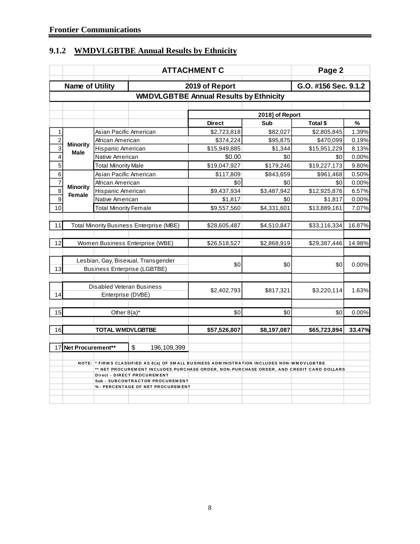## **9.1.2 WMDVLGBTBE Annual Results by Ethnicity**

|                         | Page 2<br><b>ATTACHMENT C</b> |                              |                                                                                                                                                                                      |                                               |                 |                      |        |  |  |
|-------------------------|-------------------------------|------------------------------|--------------------------------------------------------------------------------------------------------------------------------------------------------------------------------------|-----------------------------------------------|-----------------|----------------------|--------|--|--|
|                         | <b>Name of Utility</b>        |                              |                                                                                                                                                                                      | 2019 of Report                                |                 | G.O. #156 Sec. 9.1.2 |        |  |  |
|                         |                               |                              |                                                                                                                                                                                      | <b>WMDVLGBTBE Annual Results by Ethnicity</b> |                 |                      |        |  |  |
|                         |                               |                              |                                                                                                                                                                                      |                                               |                 |                      |        |  |  |
|                         |                               |                              |                                                                                                                                                                                      |                                               | 2018] of Report |                      |        |  |  |
|                         |                               |                              |                                                                                                                                                                                      | <b>Direct</b>                                 | Sub             | Total \$             | %      |  |  |
| $\mathbf{1}$            |                               | Asian Pacific American       |                                                                                                                                                                                      | \$2,723,818                                   | \$82,027        | \$2,805,845          | 1.39%  |  |  |
| $\overline{2}$          | <b>Minority</b>               | African American             |                                                                                                                                                                                      | \$374,224                                     | \$95,875        | \$470,099            | 0.19%  |  |  |
| $\overline{3}$          | <b>Male</b>                   | Hispanic American            |                                                                                                                                                                                      | \$15,949,885                                  | \$1,344         | \$15,951,229         | 8.13%  |  |  |
| $\overline{\mathbf{4}}$ |                               | Native American              |                                                                                                                                                                                      | \$0.00                                        | \$0             | \$0                  | 0.00%  |  |  |
| 5                       |                               | <b>Total Minority Male</b>   |                                                                                                                                                                                      | \$19,047,927                                  | \$179,246       | \$19,227,173         | 9.80%  |  |  |
| 6                       |                               | Asian Pacific American       |                                                                                                                                                                                      | \$117,809                                     | \$843,659       | \$961,468            | 0.50%  |  |  |
| $\overline{7}$          | <b>Minority</b>               | African American             |                                                                                                                                                                                      | \$0                                           | \$0             | \$0                  | 0.00%  |  |  |
| $\overline{8}$          | Female                        | Hispanic American            |                                                                                                                                                                                      | \$9,437,934                                   | \$3,487,942     | \$12,925,876         | 6.57%  |  |  |
| $\overline{9}$          |                               | Native American              |                                                                                                                                                                                      | \$1,817                                       | \$0             | \$1,817              | 0.00%  |  |  |
| 10                      |                               | <b>Total Minority Female</b> |                                                                                                                                                                                      | \$9,557,560                                   | \$4,331,601     | \$13,889,161         | 7.07%  |  |  |
|                         |                               |                              |                                                                                                                                                                                      |                                               |                 |                      |        |  |  |
| 11                      |                               |                              | <b>Total Minority Business Enterprise (MBE)</b>                                                                                                                                      | \$28,605,487                                  | \$4,510,847     | \$33,116,334         | 16.87% |  |  |
|                         |                               |                              |                                                                                                                                                                                      |                                               |                 |                      |        |  |  |
| 12                      |                               |                              | Women Business Enterprise (WBE)                                                                                                                                                      | \$26,518,527                                  | \$2,868,919     | \$29,387,446         | 14.98% |  |  |
|                         |                               |                              |                                                                                                                                                                                      |                                               |                 |                      |        |  |  |
|                         |                               |                              | Lesbian, Gay, Bisexual, Transgender                                                                                                                                                  | \$0                                           | \$0             | \$0                  | 0.00%  |  |  |
| 13                      |                               |                              | <b>Business Enterprise (LGBTBE)</b>                                                                                                                                                  |                                               |                 |                      |        |  |  |
|                         |                               |                              |                                                                                                                                                                                      |                                               |                 |                      |        |  |  |
|                         |                               |                              | <b>Disabled Veteran Business</b>                                                                                                                                                     |                                               |                 |                      |        |  |  |
| 14                      |                               | Enterprise (DVBE)            |                                                                                                                                                                                      | \$2,402,793                                   | \$817,321       | \$3,220,114          | 1.63%  |  |  |
|                         |                               |                              |                                                                                                                                                                                      |                                               |                 |                      |        |  |  |
| 15                      |                               | Other $8(a)^*$               |                                                                                                                                                                                      | \$0                                           | \$0             | \$0                  | 0.00%  |  |  |
|                         |                               |                              |                                                                                                                                                                                      |                                               |                 |                      |        |  |  |
| 16                      |                               | <b>TOTAL WMDVLGBTBE</b>      |                                                                                                                                                                                      | \$57,526,807                                  | \$8,197,087     | \$65,723,894         | 33.47% |  |  |
|                         |                               |                              |                                                                                                                                                                                      |                                               |                 |                      |        |  |  |
|                         | 17 Net Procurement**          |                              | \$<br>196, 109, 399                                                                                                                                                                  |                                               |                 |                      |        |  |  |
|                         |                               |                              |                                                                                                                                                                                      |                                               |                 |                      |        |  |  |
|                         |                               |                              | NOTE: * FIRMS CLASSIFIED AS 8(a) OF SMALL BUSINESS ADMINISTRATION INCLUDES NON-WMDVLGBTBE<br>** NET PROCUREMENT INCLUDES PURCHASE ORDER, NON-PURCHASE ORDER, AND CREDIT CARD DOLLARS |                                               |                 |                      |        |  |  |
|                         |                               |                              | Direct - DIRECT PROCUREMENT                                                                                                                                                          |                                               |                 |                      |        |  |  |
|                         |                               |                              | Sub - SUBCONTRACTOR PROCUREMENT                                                                                                                                                      |                                               |                 |                      |        |  |  |
|                         |                               |                              | %- PERCENTAGE OF NET PROCUREMENT                                                                                                                                                     |                                               |                 |                      |        |  |  |
|                         |                               |                              |                                                                                                                                                                                      |                                               |                 |                      |        |  |  |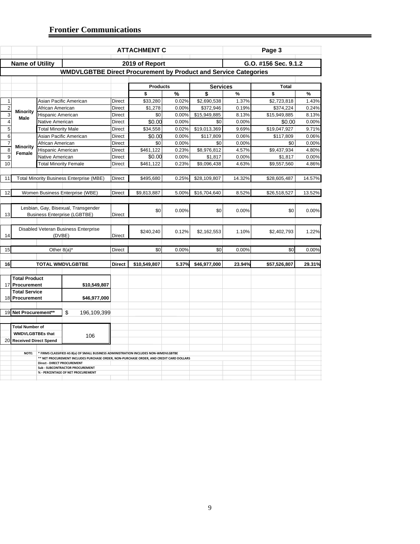|                         |                                                                            |                              |                                                                                         |               | <b>ATTACHMENT C</b> |       |                 |        | Page 3               |        |
|-------------------------|----------------------------------------------------------------------------|------------------------------|-----------------------------------------------------------------------------------------|---------------|---------------------|-------|-----------------|--------|----------------------|--------|
|                         | <b>Name of Utility</b>                                                     |                              |                                                                                         |               | 2019 of Report      |       |                 |        | G.O. #156 Sec. 9.1.2 |        |
|                         |                                                                            |                              | <b>WMDVLGBTBE Direct Procurement by Product and Service Categories</b>                  |               |                     |       |                 |        |                      |        |
|                         |                                                                            |                              |                                                                                         |               |                     |       |                 |        |                      |        |
|                         |                                                                            |                              |                                                                                         |               | <b>Products</b>     |       | <b>Services</b> |        | <b>Total</b>         |        |
|                         |                                                                            |                              |                                                                                         |               | \$                  | %     | \$              | $\%$   | \$                   | %      |
| $\mathbf{1}$            |                                                                            |                              | Asian Pacific American                                                                  | Direct        | \$33,280            | 0.02% | \$2,690,538     | 1.37%  | \$2,723,818          | 1.43%  |
| $\overline{\mathbf{c}}$ |                                                                            | African American             |                                                                                         | Direct        | \$1,278             | 0.00% | \$372,946       | 0.19%  | \$374,224            | 0.24%  |
| $\overline{3}$          | <b>Minority</b>                                                            | Hispanic American            |                                                                                         | Direct        | \$0                 | 0.00% | \$15,949,885    | 8.13%  | \$15,949,885         | 8.13%  |
| $\overline{\mathbf{4}}$ | Male                                                                       | Native American              |                                                                                         | Direct        | \$0.00              | 0.00% | \$0             | 0.00%  | \$0.00               | 0.00%  |
| $\overline{5}$          |                                                                            | <b>Total Minority Male</b>   |                                                                                         | Direct        | \$34,558            | 0.02% | \$19,013,369    | 9.69%  | \$19,047,927         | 9.71%  |
| 6                       |                                                                            |                              | Asian Pacific American                                                                  | Direct        | \$0.00              | 0.00% | \$117,809       | 0.06%  | \$117,809            | 0.06%  |
| $\overline{7}$          |                                                                            | African American             |                                                                                         | Direct        | \$0                 | 0.00% | \$0             | 0.00%  | \$0                  | 0.00%  |
| $\overline{8}$          | Minority                                                                   | Hispanic American            |                                                                                         | Direct        | \$461,122           | 0.23% | \$8,976,812     | 4.57%  | \$9,437,934          | 4.80%  |
| 9                       | Female                                                                     | Native American              |                                                                                         | Direct        | \$0.00              | 0.00% | \$1,817         | 0.00%  | \$1,817              | 0.00%  |
| 10                      |                                                                            | <b>Total Minority Female</b> |                                                                                         | Direct        | \$461,122           | 0.23% | \$9,096,438     | 4.63%  | \$9,557,560          | 4.86%  |
|                         |                                                                            |                              |                                                                                         |               |                     |       |                 |        |                      |        |
| 11                      |                                                                            |                              | <b>Total Minority Business Enterprise (MBE)</b>                                         | <b>Direct</b> | \$495,680           | 0.25% | \$28,109,807    | 14.32% | \$28,605,487         | 14.57% |
|                         |                                                                            |                              |                                                                                         |               |                     |       |                 |        |                      |        |
| 12                      |                                                                            |                              | Women Business Enterprise (WBE)                                                         | Direct        | \$9,813,887         | 5.00% | \$16,704,640    | 8.52%  | \$26,518,527         | 13.52% |
|                         |                                                                            |                              |                                                                                         |               |                     |       |                 |        |                      |        |
| 13                      | Lesbian, Gay, Bisexual, Transgender<br><b>Business Enterprise (LGBTBE)</b> |                              |                                                                                         | <b>Direct</b> | \$0                 | 0.00% | \$0             | 0.00%  | \$0                  | 0.00%  |
|                         |                                                                            |                              |                                                                                         |               |                     |       |                 |        |                      |        |
|                         |                                                                            |                              | Disabled Veteran Business Enterprise                                                    |               | \$240,240           | 0.12% | \$2,162,553     | 1.10%  | \$2,402,793          | 1.22%  |
| 14                      |                                                                            | (DVBE)                       |                                                                                         | Direct        |                     |       |                 |        |                      |        |
| 15                      |                                                                            |                              |                                                                                         | <b>Direct</b> | \$0                 | 0.00% | \$0             | 0.00%  | \$0                  | 0.00%  |
|                         |                                                                            | Other $8(a)^*$               |                                                                                         |               |                     |       |                 |        |                      |        |
| 16                      |                                                                            |                              | <b>TOTAL WMDVLGBTBE</b>                                                                 | <b>Direct</b> | \$10,549,807        | 5.37% | \$46,977,000    | 23.94% |                      | 29.31% |
|                         |                                                                            |                              |                                                                                         |               |                     |       |                 |        | \$57,526,807         |        |
|                         | <b>Total Product</b>                                                       |                              |                                                                                         |               |                     |       |                 |        |                      |        |
|                         | 17 Procurement                                                             |                              | \$10,549,807                                                                            |               |                     |       |                 |        |                      |        |
|                         | <b>Total Service</b>                                                       |                              |                                                                                         |               |                     |       |                 |        |                      |        |
|                         | 18 Procurement                                                             |                              | \$46,977,000                                                                            |               |                     |       |                 |        |                      |        |
|                         | 19 Net Procurement**                                                       |                              | \$                                                                                      |               |                     |       |                 |        |                      |        |
|                         |                                                                            |                              | 196,109,399                                                                             |               |                     |       |                 |        |                      |        |
|                         | <b>Total Number of</b>                                                     |                              |                                                                                         |               |                     |       |                 |        |                      |        |
|                         | <b>WMDVLGBTBEs that</b>                                                    |                              |                                                                                         |               |                     |       |                 |        |                      |        |
| 20                      | <b>Received Direct Spend</b>                                               |                              | 106                                                                                     |               |                     |       |                 |        |                      |        |
|                         |                                                                            |                              |                                                                                         |               |                     |       |                 |        |                      |        |
|                         | NOTE:                                                                      |                              | * FIRMS CLASSIFIED AS 8(a) OF SMALL BUSINESS ADMINISTRATION INCLUDES NON-WMDVLGBTBE     |               |                     |       |                 |        |                      |        |
|                         |                                                                            | Direct - DIRECT PROCUREMENT  | ** NET PROCUREMENT INCLUDES PURCHASE ORDER, NON-PURCHASE ORDER, AND CREDIT CARD DOLLARS |               |                     |       |                 |        |                      |        |
|                         |                                                                            |                              | Sub - SUBCONTRACTOR PROCUREMENT                                                         |               |                     |       |                 |        |                      |        |
|                         | % - PERCENTAGE OF NET PROCUREMENT                                          |                              |                                                                                         |               |                     |       |                 |        |                      |        |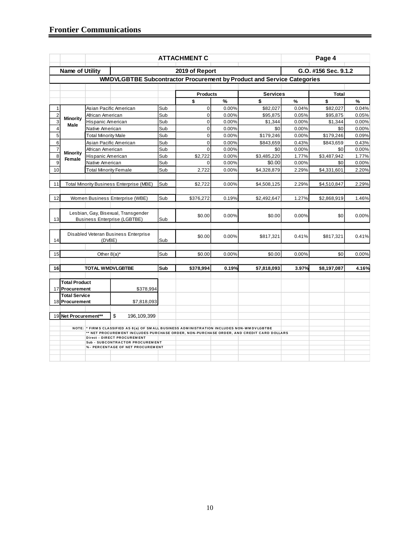|                |                           |                              |                                                                                                                        |     | <b>ATTACHMENT C</b> |       |                 |               | Page 4               |       |  |  |  |
|----------------|---------------------------|------------------------------|------------------------------------------------------------------------------------------------------------------------|-----|---------------------|-------|-----------------|---------------|----------------------|-------|--|--|--|
|                | Name of Utility           |                              |                                                                                                                        |     | 2019 of Report      |       |                 |               | G.O. #156 Sec. 9.1.2 |       |  |  |  |
|                |                           |                              | WMDVLGBTBE Subcontractor Procurement by Product and Service Categories                                                 |     |                     |       |                 |               |                      |       |  |  |  |
|                |                           |                              |                                                                                                                        |     | <b>Products</b>     |       | <b>Services</b> |               | <b>Total</b>         |       |  |  |  |
|                |                           |                              |                                                                                                                        |     | \$                  | %     | \$              | $\frac{9}{6}$ | \$                   | %     |  |  |  |
| 1              |                           |                              | Asian Pacific American                                                                                                 | Sub | $\mathbf 0$         | 0.00% | \$82,027        | 0.04%         | \$82,027             | 0.04% |  |  |  |
| $\overline{c}$ |                           | African American             |                                                                                                                        | Sub | $\mathbf 0$         | 0.00% | \$95,875        | 0.05%         | \$95,875             | 0.05% |  |  |  |
| 3              | <b>Minority</b><br>Male   | Hispanic American            |                                                                                                                        | Sub | $\mathbf 0$         | 0.00% | \$1,344         | 0.00%         | \$1,344              | 0.00% |  |  |  |
| 4              |                           | Native American              |                                                                                                                        | Sub | $\mathbf 0$         | 0.00% | \$0             | 0.00%         | \$0                  | 0.00% |  |  |  |
| $\overline{5}$ |                           | <b>Total Minority Male</b>   |                                                                                                                        | Sub | $\mathbf 0$         | 0.00% | \$179,246       | 0.00%         | \$179,246            | 0.09% |  |  |  |
| 6              |                           |                              | Asian Pacific American                                                                                                 | Sub | $\mathbf 0$         | 0.00% | \$843,659       | 0.43%         | \$843,659            | 0.43% |  |  |  |
| $\overline{7}$ |                           | African American             |                                                                                                                        | Sub | $\Omega$            | 0.00% | \$0             | 0.00%         | \$0                  | 0.00% |  |  |  |
| 8              | <b>Minority</b><br>Female | Hispanic American            |                                                                                                                        | Sub | \$2,722             | 0.00% | \$3,485,220     | 1.77%         | \$3,487,942          | 1.77% |  |  |  |
| $\overline{9}$ |                           | Native American              |                                                                                                                        | Sub | $\Omega$            | 0.00% | \$0.00          | 0.00%         | \$0                  | 0.00% |  |  |  |
| 10             |                           | <b>Total Minority Female</b> |                                                                                                                        | Sub | 2,722               | 0.00% | \$4,328,879     | 2.29%         | \$4,331,601          | 2.20% |  |  |  |
|                |                           |                              |                                                                                                                        |     |                     |       |                 |               |                      |       |  |  |  |
| 11             |                           |                              | <b>Total Minority Business Enterprise (MBE)</b>                                                                        | Sub | \$2,722             | 0.00% | \$4,508,125     | 2.29%         | \$4,510,847          | 2.29% |  |  |  |
|                |                           |                              |                                                                                                                        |     |                     |       |                 |               |                      |       |  |  |  |
| 12             |                           |                              | Women Business Enterprise (WBE)                                                                                        | Sub | \$376,272           | 0.19% | \$2,492,647     | 1.27%         | \$2,868,919          | 1.46% |  |  |  |
|                |                           |                              |                                                                                                                        |     |                     |       |                 |               |                      |       |  |  |  |
| 13             |                           |                              | Lesbian, Gay, Bisexual, Transgender<br><b>Business Enterprise (LGBTBE)</b>                                             | Sub | \$0.00              | 0.00% | \$0.00          | 0.00%         | \$0                  | 0.00% |  |  |  |
|                |                           |                              |                                                                                                                        |     |                     |       |                 |               |                      |       |  |  |  |
|                |                           |                              | Disabled Veteran Business Enterprise                                                                                   |     | \$0.00              | 0.00% | \$817,321       | 0.41%         | \$817,321            | 0.41% |  |  |  |
| 14             |                           | (DVBE)                       |                                                                                                                        | Sub |                     |       |                 |               |                      |       |  |  |  |
| 15             |                           | Other $8(a)^*$               |                                                                                                                        | Sub | \$0.00              | 0.00% | \$0.00          | 0.00%         | \$0                  | 0.00% |  |  |  |
|                |                           |                              |                                                                                                                        |     |                     |       |                 |               |                      |       |  |  |  |
| 16             |                           | <b>TOTAL WMDVLGBTBE</b>      |                                                                                                                        | Sub | \$378,994           | 0.19% | \$7,818,093     | 3.97%         | \$8,197,087          | 4.16% |  |  |  |
|                | <b>Total Product</b>      |                              |                                                                                                                        |     |                     |       |                 |               |                      |       |  |  |  |
|                | 17 Procurement            |                              | \$378,994                                                                                                              |     |                     |       |                 |               |                      |       |  |  |  |
|                | <b>Total Service</b>      |                              |                                                                                                                        |     |                     |       |                 |               |                      |       |  |  |  |
|                | 18 Procurement            |                              | \$7,818,093                                                                                                            |     |                     |       |                 |               |                      |       |  |  |  |
|                |                           |                              |                                                                                                                        |     |                     |       |                 |               |                      |       |  |  |  |
| 19             | Net Procurement**         |                              | \$<br>196, 109, 399                                                                                                    |     |                     |       |                 |               |                      |       |  |  |  |
|                |                           |                              | NOTE: * FIRMS CLASSIFIED AS 8(a) OF SMALL BUSINESS ADMINISTRATION INCLUDES NON-WMDVLGBTBE                              |     |                     |       |                 |               |                      |       |  |  |  |
|                |                           |                              | ** NET PROCUREMENT INCLUDES PURCHASE ORDER, NON-PURCHASE ORDER, AND CREDIT CARD DOLLARS<br>Direct - DIRECT PROCUREMENT |     |                     |       |                 |               |                      |       |  |  |  |
|                |                           |                              | Sub - SUBCONTRACTOR PROCUREMENT                                                                                        |     |                     |       |                 |               |                      |       |  |  |  |
|                |                           |                              | %- PERCENTAGE OF NET PROCUREMENT                                                                                       |     |                     |       |                 |               |                      |       |  |  |  |
|                |                           |                              |                                                                                                                        |     |                     |       |                 |               |                      |       |  |  |  |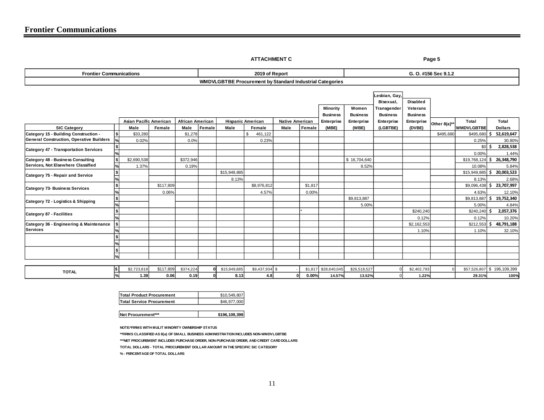**ATTACHMENT C** Page 5

| <b>Frontier Communications</b>                                                           |    |                               |           |                  | 2019 of Report |              |                                                          |                        |         | G. O. #156 Sec 9.1.2 |                 |                            |                      |              |                            |    |                      |
|------------------------------------------------------------------------------------------|----|-------------------------------|-----------|------------------|----------------|--------------|----------------------------------------------------------|------------------------|---------|----------------------|-----------------|----------------------------|----------------------|--------------|----------------------------|----|----------------------|
|                                                                                          |    |                               |           |                  |                |              | WMDVLGBTBE Procurement by Standard Industrial Categories |                        |         |                      |                 |                            |                      |              |                            |    |                      |
|                                                                                          |    |                               |           |                  |                |              |                                                          |                        |         |                      |                 | Lesbian, Gay,<br>Bisexual, | Disabled             |              |                            |    |                      |
|                                                                                          |    |                               |           |                  |                |              |                                                          |                        |         | Minority             | Women           | Transgender                | Veterans             |              |                            |    |                      |
|                                                                                          |    |                               |           |                  |                |              |                                                          |                        |         | <b>Business</b>      | <b>Business</b> | <b>Business</b>            | <b>Business</b>      |              |                            |    |                      |
|                                                                                          |    | <b>Asian Pacific American</b> |           | African American |                |              | <b>Hispanic American</b>                                 | <b>Native American</b> |         | Enterprise           | Enterprise      | Enterprise                 | Enterprise           | Other 8(a)** | Total                      |    | Total                |
| <b>SIC Category</b>                                                                      |    | Male                          | Female    | Male             | Female         | Male         | Female                                                   | Male                   | Female  | (MBE)                | (WBE)           | (LGBTBE)                   | (DVBE)               |              | <b>WMDVLGBTBE</b>          |    | <b>Dollars</b>       |
| Category 15 - Building Construction -<br><b>General Construction, Operative Builders</b> | \$ | \$33,280<br>0.02%             |           | \$1,278<br>0.0%  |                |              | \$<br>461,122<br>0.23%                                   |                        |         |                      |                 |                            |                      | \$495,680    | $$495,680$ \$<br>0.25%     |    | 52,619,647<br>30.80% |
|                                                                                          |    |                               |           |                  |                |              |                                                          |                        |         |                      |                 |                            |                      |              | $$0\,$ S                   |    | 2,828,538            |
| Category 47 - Transportation Services                                                    |    |                               |           |                  |                |              |                                                          |                        |         |                      |                 |                            |                      |              | 0.00%                      |    | 1.44%                |
| Category 48 - Business Consulting                                                        |    | \$2,690,538                   |           | \$372,946        |                |              |                                                          |                        |         |                      | \$16,704,640    |                            |                      |              | $$19,768,124$ \$           |    | 26,348,790           |
| Services, Not Elsewhere Classified                                                       |    | 1.37%                         |           | 0.19%            |                |              |                                                          |                        |         |                      | 8.52%           |                            |                      |              | 10.08%                     |    | 5.84%                |
| Category 75 - Repair and Service                                                         |    |                               |           |                  |                | \$15,949,885 |                                                          |                        |         |                      |                 |                            |                      |              | $$15,949,885$ \$           |    | 20,003,523           |
|                                                                                          |    |                               |           |                  |                | 8.13%        |                                                          |                        |         |                      |                 |                            |                      |              | 8.13%                      |    | 2.68%                |
| Category 73- Business Services                                                           |    |                               | \$117,809 |                  |                |              | \$8,976,812                                              |                        | \$1,817 |                      |                 |                            |                      |              | $$9,096,438$ \$            |    | 23,707,997           |
|                                                                                          |    |                               | 0.06%     |                  |                |              | 4.57%                                                    |                        | 0.00%   |                      |                 |                            |                      |              | 4.63%                      |    | 12.10%               |
| Category 72 - Logistics & Shipping                                                       | 5  |                               |           |                  |                |              |                                                          |                        |         |                      | \$9,813,887     |                            |                      |              | \$9,813,887                | ١s | 19,752,340           |
|                                                                                          |    |                               |           |                  |                |              |                                                          |                        |         |                      | 5.00%           |                            |                      |              | 5.00%                      |    | 4.84%                |
| Category 87 - Facilities                                                                 |    |                               |           |                  |                |              |                                                          |                        |         |                      |                 |                            | \$240,240            |              | $$240,240$ \$              |    | 2,057,376            |
|                                                                                          |    |                               |           |                  |                |              |                                                          |                        |         |                      |                 |                            | 0.12%                |              | 0.12%                      |    | 10.20%               |
| Category 36 - Engineering & Maintenance<br><b>Services</b>                               |    |                               |           |                  |                |              |                                                          |                        |         |                      |                 |                            | \$2,162,553<br>1.10% |              | $$212,553$ \$<br>1.10%     |    | 48,791,188           |
|                                                                                          |    |                               |           |                  |                |              |                                                          |                        |         |                      |                 |                            |                      |              |                            |    | 32.10%               |
|                                                                                          |    |                               |           |                  |                |              |                                                          |                        |         |                      |                 |                            |                      |              |                            |    |                      |
|                                                                                          |    |                               |           |                  |                |              |                                                          |                        |         |                      |                 |                            |                      |              |                            |    |                      |
|                                                                                          |    |                               |           |                  |                |              |                                                          |                        |         |                      |                 |                            |                      |              |                            |    |                      |
|                                                                                          |    |                               |           |                  |                |              |                                                          |                        |         |                      |                 |                            |                      |              |                            |    |                      |
| <b>TOTAL</b>                                                                             |    | \$2,723,818                   | \$117,809 | \$374,224        | ΩI             | \$15,949,885 | \$9,437,934 \$                                           |                        | \$1,817 | \$28,640,045         | \$26,518,527    |                            | \$2,402,793          |              | \$57,526,807 \$196,109,399 |    |                      |
|                                                                                          |    | 1.39                          | 0.06      | 0.19             |                | 8.13         | 4.8                                                      |                        | 0.00%   | 14.57%               | 13.52%          |                            | 1.22%                |              | 29.31%                     |    | 100%                 |

| <b>Total Product Procurement</b> | \$10.549.807 |
|----------------------------------|--------------|
| <b>Total Service Procurement</b> | \$46,977,000 |

**Net Procurement\*\*\* 196,109,399** 

**NOTE:\*FIRMS WITH MULIT MINORITY OWNERSHIP STATUS**

**\*\*FIRMS CLASSIFIED AS 8(a) OF SMALL BUSINESS ADMINISTRATION INCLUDES NON-WMDVLGBTBE**

**\*\*\*NET PROCUREMENT INCLUDES PURCHASE ORDER, NON-PURCHASE ORDER, AND CREDIT CARD DOLLARS**

**TOTAL DOLLARS - TOTAL PROCUREMENT DOLLAR AMOUNT IN THE SPECIFIC SIC CATEGORY** 

**% - PERCENTAGE OF TOTAL DOLLARS**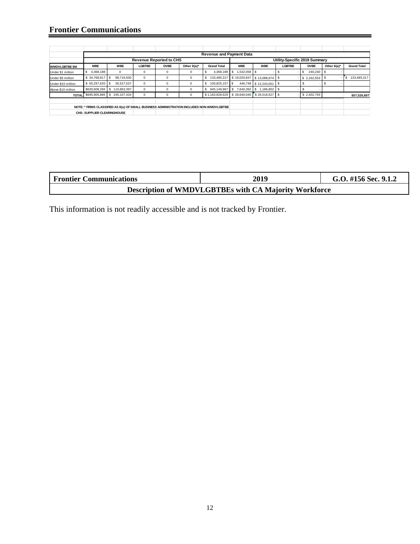#### **Frontier Communications**

|                       |                                                                                           |                                   |               |                                |                |                     | <b>Revenue and Payment Data</b> |                      |                               |             |             |                    |  |
|-----------------------|-------------------------------------------------------------------------------------------|-----------------------------------|---------------|--------------------------------|----------------|---------------------|---------------------------------|----------------------|-------------------------------|-------------|-------------|--------------------|--|
|                       |                                                                                           |                                   |               | <b>Revenue Reported to CHS</b> |                |                     |                                 |                      | Utility-Specific 2019 Summary |             |             |                    |  |
| <b>WMDVLGBTBE \$M</b> | <b>MBE</b>                                                                                | <b>WBE</b>                        | <b>LGBTBE</b> | <b>DVBE</b>                    | Other $8(a)^*$ | <b>Grand Total</b>  | <b>MBE</b>                      | <b>WBE</b>           | <b>LGBTBE</b>                 | <b>DVBE</b> | Other 8(a)* | <b>Grand Total</b> |  |
| Under \$1 million     | s<br>4,368,188                                                                            | $^{\circ}$                        | 0             | $\Omega$                       | 0              | 4.368.188           | 1.532.058 \$<br>S               |                      |                               | 240,240 \$  |             |                    |  |
| Under \$5 million     | \$34,768,817 \$                                                                           | 98,716,500                        | $\circ$       | $\Omega$                       | 0              | 133,485,317         | \$19,020,847                    | $$13,088,674$ \\$    |                               | \$2,162,553 |             | 133,485,317<br>s   |  |
| Under \$10 million    | $$65.297.620$ \\$                                                                         | 35.527.537                        | 0             | $\mathbf 0$                    | 0              | 100.825.157 \$<br>s |                                 | 446,748 \$12,243,051 |                               |             |             |                    |  |
| Above \$10 million    | \$630,608,265                                                                             | 110.863.397<br>s.                 | $\mathbf 0$   | $\Omega$                       | 0              | 945,149,967         | s<br>7.640.392 \$               | 1.186.802 S          |                               |             |             |                    |  |
|                       |                                                                                           | TOTAL \$695,905,885 \$245,107,434 | $\mathbf 0$   | $\mathbf 0$                    | 0              | \$1,183,828,629     | \$28,640,045 \$26,518,527       |                      |                               | \$2,402,793 |             | \$57,526,807       |  |
|                       |                                                                                           |                                   |               |                                |                |                     |                                 |                      |                               |             |             |                    |  |
|                       | NOTE: * FIRMS CLASSIFIED AS 8(a) OF SMALL BUSINESS ADMINISTRATION INCLUDES NON-WMDVLGBTBE |                                   |               |                                |                |                     |                                 |                      |                               |             |             |                    |  |
|                       | <b>CHS: SUPPLIER CLEARINGHOUSE</b>                                                        |                                   |               |                                |                |                     |                                 |                      |                               |             |             |                    |  |

| <b>Frontier Communications</b> | 2019                                                         | G.O. #156 Sec. 9.1.2 |
|--------------------------------|--------------------------------------------------------------|----------------------|
|                                | <b>Description of WMDVLGBTBEs with CA Majority Workforce</b> |                      |

This information is not readily accessible and is not tracked by Frontier.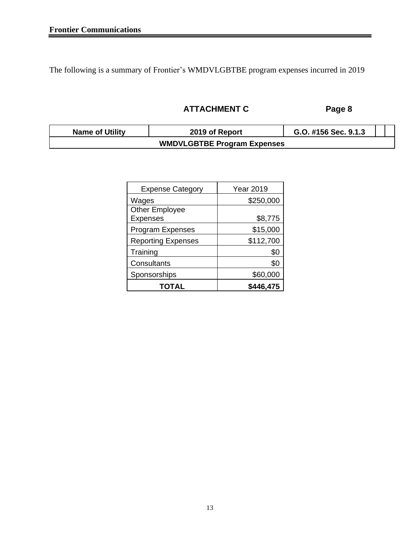The following is a summary of Frontier's WMDVLGBTBE program expenses incurred in 2019

## **ATTACHMENT C Page 8**

| <b>Name of Utility</b> | 2019 of Report                     | G.O. #156 Sec. 9.1.3 |  |
|------------------------|------------------------------------|----------------------|--|
|                        | <b>WMDVLGBTBE Program Expenses</b> |                      |  |

| <b>Expense Category</b>   | <b>Year 2019</b> |
|---------------------------|------------------|
| Wages                     | \$250,000        |
| <b>Other Employee</b>     |                  |
| <b>Expenses</b>           | \$8,775          |
| <b>Program Expenses</b>   | \$15,000         |
| <b>Reporting Expenses</b> | \$112,700        |
| Training                  | \$0              |
| Consultants               | \$0              |
| Sponsorships              | \$60,000         |
| <b>TOTAL</b>              | \$446,475        |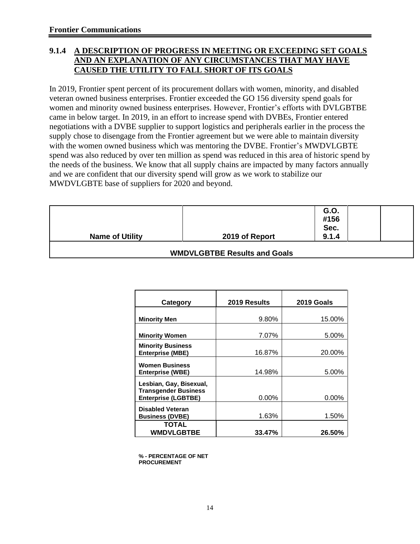### **9.1.4 A DESCRIPTION OF PROGRESS IN MEETING OR EXCEEDING SET GOALS AND AN EXPLANATION OF ANY CIRCUMSTANCES THAT MAY HAVE CAUSED THE UTILITY TO FALL SHORT OF ITS GOALS**

In 2019, Frontier spent percent of its procurement dollars with women, minority, and disabled veteran owned business enterprises. Frontier exceeded the GO 156 diversity spend goals for women and minority owned business enterprises. However, Frontier's efforts with DVLGBTBE came in below target. In 2019, in an effort to increase spend with DVBEs, Frontier entered negotiations with a DVBE supplier to support logistics and peripherals earlier in the process the supply chose to disengage from the Frontier agreement but we were able to maintain diversity with the women owned business which was mentoring the DVBE. Frontier's MWDVLGBTE spend was also reduced by over ten million as spend was reduced in this area of historic spend by the needs of the business. We know that all supply chains are impacted by many factors annually and we are confident that our diversity spend will grow as we work to stabilize our MWDVLGBTE base of suppliers for 2020 and beyond.

|                        |                | G.O.  |  |
|------------------------|----------------|-------|--|
|                        |                | #156  |  |
|                        |                | Sec.  |  |
| <b>Name of Utility</b> | 2019 of Report | 9.1.4 |  |

#### **WMDVLGBTBE Results and Goals**

| Category                                                                             | 2019 Results | 2019 Goals |
|--------------------------------------------------------------------------------------|--------------|------------|
| <b>Minority Men</b>                                                                  | 9.80%        | 15.00%     |
| <b>Minority Women</b>                                                                | 7.07%        | 5.00%      |
| <b>Minority Business</b><br><b>Enterprise (MBE)</b>                                  | 16.87%       | 20.00%     |
| <b>Women Business</b><br>Enterprise (WBE)                                            | 14.98%       | 5.00%      |
| Lesbian, Gay, Bisexual,<br><b>Transgender Business</b><br><b>Enterprise (LGBTBE)</b> | 0.00%        | 0.00%      |
| <b>Disabled Veteran</b><br><b>Business (DVBE)</b>                                    | 1.63%        | 1.50%      |
| <b>TOTAL</b><br><b>WMDVLGBTBE</b>                                                    | 33.47%       | 26.50%     |

**% - PERCENTAGE OF NET PROCUREMENT**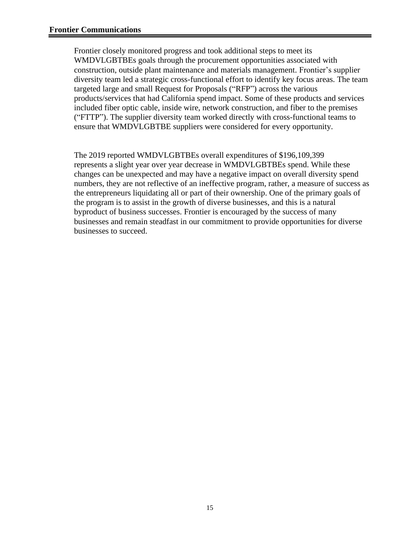Frontier closely monitored progress and took additional steps to meet its WMDVLGBTBEs goals through the procurement opportunities associated with construction, outside plant maintenance and materials management. Frontier's supplier diversity team led a strategic cross-functional effort to identify key focus areas. The team targeted large and small Request for Proposals ("RFP") across the various products/services that had California spend impact. Some of these products and services included fiber optic cable, inside wire, network construction, and fiber to the premises ("FTTP"). The supplier diversity team worked directly with cross-functional teams to ensure that WMDVLGBTBE suppliers were considered for every opportunity.

The 2019 reported WMDVLGBTBEs overall expenditures of \$196,109,399 represents a slight year over year decrease in WMDVLGBTBEs spend. While these changes can be unexpected and may have a negative impact on overall diversity spend numbers, they are not reflective of an ineffective program, rather, a measure of success as the entrepreneurs liquidating all or part of their ownership. One of the primary goals of the program is to assist in the growth of diverse businesses, and this is a natural byproduct of business successes. Frontier is encouraged by the success of many businesses and remain steadfast in our commitment to provide opportunities for diverse businesses to succeed.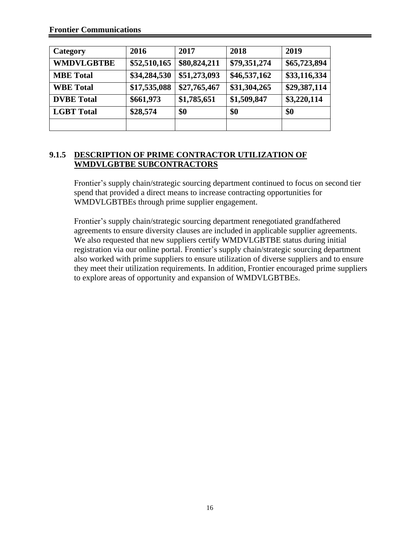| Category          | 2016         | 2017         | 2018         | 2019         |
|-------------------|--------------|--------------|--------------|--------------|
| <b>WMDVLGBTBE</b> | \$52,510,165 | \$80,824,211 | \$79,351,274 | \$65,723,894 |
| <b>MBE</b> Total  | \$34,284,530 | \$51,273,093 | \$46,537,162 | \$33,116,334 |
| <b>WBE</b> Total  | \$17,535,088 | \$27,765,467 | \$31,304,265 | \$29,387,114 |
| <b>DVBE</b> Total | \$661,973    | \$1,785,651  | \$1,509,847  | \$3,220,114  |
| <b>LGBT</b> Total | \$28,574     | \$0          | \$0          | \$0          |
|                   |              |              |              |              |

#### **9.1.5 DESCRIPTION OF PRIME CONTRACTOR UTILIZATION OF WMDVLGBTBE SUBCONTRACTORS**

Frontier's supply chain/strategic sourcing department continued to focus on second tier spend that provided a direct means to increase contracting opportunities for WMDVLGBTBEs through prime supplier engagement.

Frontier's supply chain/strategic sourcing department renegotiated grandfathered agreements to ensure diversity clauses are included in applicable supplier agreements. We also requested that new suppliers certify WMDVLGBTBE status during initial registration via our online portal. Frontier's supply chain/strategic sourcing department also worked with prime suppliers to ensure utilization of diverse suppliers and to ensure they meet their utilization requirements. In addition, Frontier encouraged prime suppliers to explore areas of opportunity and expansion of WMDVLGBTBEs.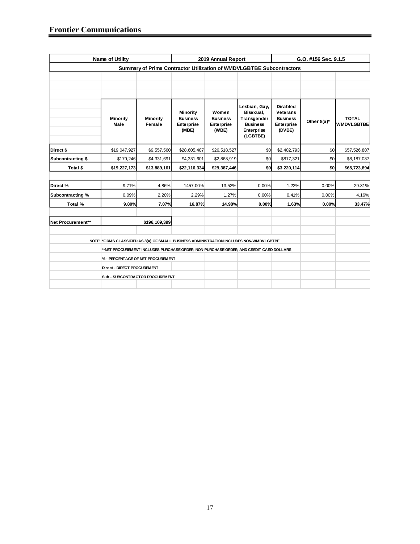|                   | <b>Name of Utility</b>                                                                    |                                                                                        |                                                           | 2019 Annual Report                                     |                                                                                               | G.O. #156 Sec. 9.1.5                                                   |             |                                   |  |  |  |
|-------------------|-------------------------------------------------------------------------------------------|----------------------------------------------------------------------------------------|-----------------------------------------------------------|--------------------------------------------------------|-----------------------------------------------------------------------------------------------|------------------------------------------------------------------------|-------------|-----------------------------------|--|--|--|
|                   |                                                                                           | Summary of Prime Contractor Utilization of WMDVLGBTBE Subcontractors                   |                                                           |                                                        |                                                                                               |                                                                        |             |                                   |  |  |  |
|                   |                                                                                           |                                                                                        |                                                           |                                                        |                                                                                               |                                                                        |             |                                   |  |  |  |
|                   | <b>Minority</b><br>Male                                                                   | <b>Minority</b><br>Female                                                              | <b>Minority</b><br><b>Business</b><br>Enterprise<br>(MBE) | Women<br><b>Business</b><br><b>Enterprise</b><br>(WBE) | Lesbian, Gay,<br>Bisexual,<br>Transgender<br><b>Business</b><br><b>Enterprise</b><br>(LGBTBE) | Disabled<br><b>Veterans</b><br><b>Business</b><br>Enterprise<br>(DVBE) | Other 8(a)* | <b>TOTAL</b><br><b>WMDVLGBTBE</b> |  |  |  |
| Direct \$         | \$19,047,927                                                                              | \$9,557,560                                                                            | \$28,605,487                                              | \$26,518,527                                           | \$0                                                                                           | \$2,402,793                                                            | \$0         | \$57,526,807                      |  |  |  |
| Subcontracting \$ | \$179,246                                                                                 | \$4,331,691                                                                            | \$4,331,601                                               | \$2,868,919                                            | \$0                                                                                           | \$817,321                                                              | \$0         | \$8,187,087                       |  |  |  |
| Total \$          | \$19,227,173                                                                              | \$13,889,161                                                                           | \$22,116,334                                              | \$29,387,446                                           | \$0                                                                                           | \$3,220,114                                                            | \$0         | \$65,723,894                      |  |  |  |
| Direct%           | 9.71%                                                                                     | 4.86%                                                                                  | 1457.00%                                                  | 13.52%                                                 | 0.00%                                                                                         | 1.22%                                                                  | 0.00%       | 29.31%                            |  |  |  |
| Subcontracting %  | 0.09%                                                                                     | 2.20%                                                                                  | 2.29%                                                     | 1.27%                                                  | 0.00%                                                                                         | 0.41%                                                                  | 0.00%       | 4.16%                             |  |  |  |
| Total %           | 9.80%                                                                                     | 7.07%                                                                                  | 16.87%                                                    | 14.98%                                                 | 0.00%                                                                                         | 1.63%                                                                  | 0.00%       | 33.47%                            |  |  |  |
| Net Procurement** |                                                                                           | \$196,109,399                                                                          |                                                           |                                                        |                                                                                               |                                                                        |             |                                   |  |  |  |
|                   | NOTE: * FIRMS CLASSIFIED AS 8(a) OF SMALL BUSINESS ADMINISTRATION INCLUDES NON-WMDVLGBTBE | **NET PROCUREMENT INCLUDES PURCHASE ORDER, NON-PURCHASE ORDER, AND CREDIT CARD DOLLARS |                                                           |                                                        |                                                                                               |                                                                        |             |                                   |  |  |  |
|                   |                                                                                           | % - PERCENTAGE OF NET PROCUREMENT                                                      |                                                           |                                                        |                                                                                               |                                                                        |             |                                   |  |  |  |
|                   | Direct - DIRECT PROCUREMENT                                                               |                                                                                        |                                                           |                                                        |                                                                                               |                                                                        |             |                                   |  |  |  |
|                   |                                                                                           | <b>Sub - SUBCONTRACTOR PROCUREMENT</b>                                                 |                                                           |                                                        |                                                                                               |                                                                        |             |                                   |  |  |  |
|                   |                                                                                           |                                                                                        |                                                           |                                                        |                                                                                               |                                                                        |             |                                   |  |  |  |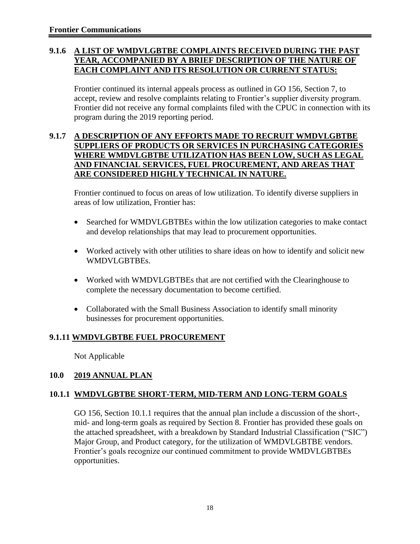#### **9.1.6 A LIST OF WMDVLGBTBE COMPLAINTS RECEIVED DURING THE PAST YEAR, ACCOMPANIED BY A BRIEF DESCRIPTION OF THE NATURE OF EACH COMPLAINT AND ITS RESOLUTION OR CURRENT STATUS:**

Frontier continued its internal appeals process as outlined in GO 156, Section 7, to accept, review and resolve complaints relating to Frontier's supplier diversity program. Frontier did not receive any formal complaints filed with the CPUC in connection with its program during the 2019 reporting period.

#### **9.1.7 A DESCRIPTION OF ANY EFFORTS MADE TO RECRUIT WMDVLGBTBE SUPPLIERS OF PRODUCTS OR SERVICES IN PURCHASING CATEGORIES WHERE WMDVLGBTBE UTILIZATION HAS BEEN LOW, SUCH AS LEGAL AND FINANCIAL SERVICES, FUEL PROCUREMENT, AND AREAS THAT ARE CONSIDERED HIGHLY TECHNICAL IN NATURE.**

Frontier continued to focus on areas of low utilization. To identify diverse suppliers in areas of low utilization, Frontier has:

- Searched for WMDVLGBTBEs within the low utilization categories to make contact and develop relationships that may lead to procurement opportunities.
- Worked actively with other utilities to share ideas on how to identify and solicit new WMDVLGBTBEs.
- Worked with WMDVLGBTBEs that are not certified with the Clearinghouse to complete the necessary documentation to become certified.
- Collaborated with the Small Business Association to identify small minority businesses for procurement opportunities.

### **9.1.11 WMDVLGBTBE FUEL PROCUREMENT**

Not Applicable

#### **10.0 2019 ANNUAL PLAN**

#### **10.1.1 WMDVLGBTBE SHORT-TERM, MID-TERM AND LONG-TERM GOALS**

GO 156, Section 10.1.1 requires that the annual plan include a discussion of the short-, mid- and long-term goals as required by Section 8. Frontier has provided these goals on the attached spreadsheet, with a breakdown by Standard Industrial Classification ("SIC") Major Group, and Product category, for the utilization of WMDVLGBTBE vendors. Frontier's goals recognize our continued commitment to provide WMDVLGBTBEs opportunities.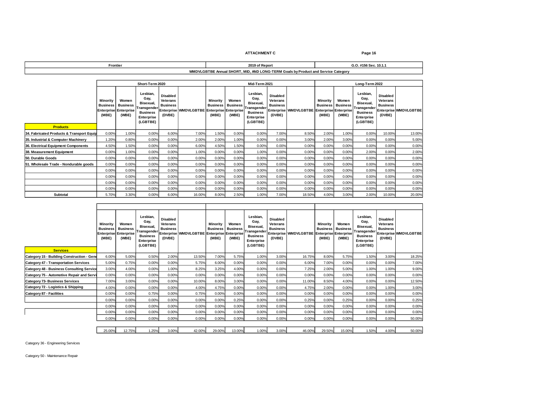**ATTACHMENT C Page 16**

| Frontie                                                                                                                               | $2010 - 4L$<br>Reno | $\sim$ 10.1.1. |  |  |  |  |  |  |  |  |
|---------------------------------------------------------------------------------------------------------------------------------------|---------------------|----------------|--|--|--|--|--|--|--|--|
| <b>TDF</b><br>al SHOR'<br><b>AMIN</b><br>MID.<br>ONG.<br>. CDM<br>งv Product and Service Cateɑorv<br>Goals<br>ĸr<br>. .<br>ERN<br>w., |                     |                |  |  |  |  |  |  |  |  |

|                                           | Short-Term 2020                      |                                                                   |                                                                                                  |                                                          |                                             |                   |                                            | Mid-Term 2021                                                                             |                                                          |                       | Long-Term 2022                                                       |                                   |                                                                                                  |                                                                 |                              |
|-------------------------------------------|--------------------------------------|-------------------------------------------------------------------|--------------------------------------------------------------------------------------------------|----------------------------------------------------------|---------------------------------------------|-------------------|--------------------------------------------|-------------------------------------------------------------------------------------------|----------------------------------------------------------|-----------------------|----------------------------------------------------------------------|-----------------------------------|--------------------------------------------------------------------------------------------------|-----------------------------------------------------------------|------------------------------|
| <b>Products</b>                           | Minority<br><b>Business</b><br>(MBE) | Women<br><b>Business</b><br><b>Enterprise Enterprise</b><br>(WBE) | Lesbian.<br>Gay,<br>Bisexual,<br>Transgender<br><b>Business</b><br><b>Enterprise</b><br>(LGBTBE) | <b>Disabled</b><br>Veterans<br><b>Business</b><br>(DVBE) | Enterprise WMDVLGBTBE Enterprise Enterprise | Minority<br>(MBE) | Women<br><b>Business</b> Business<br>(WBE) | Lesbian,<br>Gay,<br>Bisexual,<br>Transgender<br><b>Business</b><br>Enterprise<br>(LGBTBE) | <b>Disabled</b><br>Veterans<br><b>Business</b><br>(DVBE) | Enterprise WMDVLGBTBE | Minority<br><b>Business</b><br><b>Enterprise Enterprise</b><br>(MBE) | Women<br><b>Business</b><br>(WBE) | Lesbian.<br>Gay,<br>Bisexual,<br>Transgender<br><b>Business</b><br><b>Enterprise</b><br>(LGBTBE) | <b>Disabled</b><br><b>Veterans</b><br><b>Business</b><br>(DVBE) | <b>Enterprise WMDVLGBTBE</b> |
| 34. Fabricated Products & Transport Equip | 0.00%                                | 1.00%                                                             | 0.00%                                                                                            | 6.00%                                                    | 7.00%                                       | 1.50%             | 0.00%                                      | 0.00%                                                                                     | 7.00%                                                    | 8.50%                 | 2.00%                                                                | 1.00%                             | 0.00%                                                                                            | 10.00%                                                          | 13.00%                       |
| 35. Industrial & Computer Machinery       | 1.20%                                | 0.80%                                                             | 0.00%                                                                                            | 0.00%                                                    | 2.00%                                       | 2.00%             | 1.00%                                      | 0.00%                                                                                     | 0.00%                                                    | 3.00%                 | 2.00%                                                                | 3.00%                             | 0.00%                                                                                            | 0.00%                                                           | 5.00%                        |
| 36. Electrical Equipment Components       | 4.50%                                | 1.50%                                                             | 0.00%                                                                                            | 0.00%                                                    | 6.00%                                       | 4.50%             | 1.50%                                      | 0.00%                                                                                     | 0.00%                                                    | 0.00%                 | 0.00%                                                                | 0.00%                             | 0.00%                                                                                            | 0.00%                                                           | 0.00%                        |
| 38. Measurement Equipment                 | 0.00%                                | 1.00%                                                             | 0.00%                                                                                            | 0.00%                                                    | 1.00%                                       | 0.00%             | 0.00%                                      | 1.00%                                                                                     | 0.00%                                                    | 0.00%                 | 0.00%                                                                | 0.00%                             | 2.00%                                                                                            | 0.00%                                                           | 2.00%                        |
| 50. Durable Goods                         | 0.00%                                | 0.00%                                                             | 0.00%                                                                                            | 0.00%                                                    | 0.00%                                       | 0.00%             | 0.00%                                      | 0.00%                                                                                     | 0.00%                                                    | 0.00%                 | 0.00%                                                                | 0.00%                             | 0.00%                                                                                            | 0.00%                                                           | 0.00%                        |
| 51. Wholesale Trade - Nondurable goods    | 0.00%                                | 0.00%                                                             | 0.00%                                                                                            | 0.00%                                                    | 0.00%                                       | 0.00%             | 0.00%                                      | 0.00%                                                                                     | 0.00%                                                    | 0.00%                 | 0.00%                                                                | 0.00%                             | 0.00%                                                                                            | 0.00%                                                           | 0.00%                        |
|                                           | 0.00%                                | 0.00%                                                             | 0.00%                                                                                            | 0.00%                                                    | 0.00%                                       | 0.00%             | 0.00%                                      | 0.00%                                                                                     | 0.00%                                                    | 0.00%                 | 0.00%                                                                | 0.00%                             | 0.00%                                                                                            | 0.00%                                                           | 0.00%                        |
|                                           | 0.00%                                | 0.00%                                                             | 0.00%                                                                                            | 0.00%                                                    | 0.00%                                       | 0.00%             | 0.00%                                      | 0.00%                                                                                     | 0.00%                                                    | 0.00%                 | 0.00%                                                                | 0.00%                             | 0.00%                                                                                            | 0.00%                                                           | 0.00%                        |
|                                           | 0.00%                                | 0.00%                                                             | 0.00%                                                                                            | 0.00%                                                    | 0.00%                                       | 0.00%             | 0.00%                                      | 0.00%                                                                                     | 0.00%                                                    | 0.00%                 | 0.00%                                                                | 0.00%                             | 0.00%                                                                                            | 0.00%                                                           | 0.00%                        |
|                                           | 0.00%                                | 0.00%                                                             | 0.00%                                                                                            | 0.00%                                                    | 0.00%                                       | 0.00%             | 0.00%                                      | 0.00%                                                                                     | 0.00%                                                    | 0.00%                 | 0.00%                                                                | 0.00%                             | 0.00%                                                                                            | 0.00%                                                           | 0.00%                        |
| Subtotal                                  | 5.70%                                | 3.30%                                                             | 0.00%                                                                                            | 6.00%                                                    | 16.00%                                      | 8.00%             | 2.50%                                      | 1.00%                                                                                     | 7.00%                                                    | 18.50%                | 4.00%                                                                | 3.00%                             | 2.00%                                                                                            | 10.00%                                                          | 20.00%                       |

| <b>Services</b>                                  | Minority<br><b>Business</b><br>(MBE) | Women<br><b>Business</b><br>Enterprise Enterprise<br>(WBE) | Lesbian.<br>Gay,<br>Bisexual.<br>Transgender<br><b>Business</b><br>Enterprise<br>(LGBTBE) | Disabled<br><b>Veterans</b><br><b>Business</b><br>(DVBE) | Enterprise WMDVLGBTBE Enterprise Enterprise | <b>Minority</b><br><b>Business Business</b><br>(MBE) | Women<br>(WBE) | Lesbian,<br>Gay,<br>Bisexual,<br>Transgender<br><b>Business</b><br><b>Enterprise</b><br>(LGBTBE) | <b>Disabled</b><br>Veterans<br><b>Business</b><br>(DVBE) | Enterprise WMDVLGBTBE | Minority<br><b>Business</b><br>(MBE) | Women<br><b>Business</b><br><b>Enterprise Enterprise</b><br>(WBE) | Lesbian,<br>Gay,<br>Bisexual,<br>Transgender<br><b>Business</b><br>Enterprise<br>(LGBTBE) | <b>Disabled</b><br><b>Veterans</b><br><b>Business</b><br>(DVBE) | Enterprise WMDVLGBTBE |  |
|--------------------------------------------------|--------------------------------------|------------------------------------------------------------|-------------------------------------------------------------------------------------------|----------------------------------------------------------|---------------------------------------------|------------------------------------------------------|----------------|--------------------------------------------------------------------------------------------------|----------------------------------------------------------|-----------------------|--------------------------------------|-------------------------------------------------------------------|-------------------------------------------------------------------------------------------|-----------------------------------------------------------------|-----------------------|--|
| Category 15 - Building Construction - Gene       | 6.00%                                | 5.00%                                                      | 0.50%                                                                                     | 2.00%                                                    | 13.50%                                      | 7.00%                                                | 5.75%          | 1.00%                                                                                            | 3.00%                                                    | 16.75%                | 8.00%                                | 5.75%                                                             | 1.50%                                                                                     | 3.00%                                                           | 18.25%                |  |
| <b>Category 47 - Transportation Services</b>     | 5.00%                                | 0.75%                                                      | 0.00%                                                                                     | 0.00%                                                    | 5.75%                                       | 6.00%                                                | 0.00%          | 0.00%                                                                                            | 0.00%                                                    | 6.00%                 | 7.00%                                | 0.00%                                                             | 0.00%                                                                                     | 0.00%                                                           | 7.00%                 |  |
| <b>Category 48 - Business Consulting Service</b> | 3.00%                                | 4.00%                                                      | 0.00%                                                                                     | 1.00%                                                    | 8.25%                                       | 3.25%                                                | 4.00%          | 0.00%                                                                                            | 0.00%                                                    | 7.25%                 | 2.00%                                | 5.00%                                                             | 1.00%                                                                                     | 1.00%                                                           | 9.00%                 |  |
| Category 75 - Automotive Repair and Servi        | 0.00%                                | 0.00%                                                      | 0.00%                                                                                     | 0.00%                                                    | 0.00%                                       | 0.00%                                                | 0.00%          | 0.00%                                                                                            | 0.00%                                                    | 0.00%                 | 0.00%                                | 0.00%                                                             | 0.00%                                                                                     | 0.00%                                                           | 0.00%                 |  |
| <b>Category 73- Business Services</b>            | 7.00%                                | 3.00%                                                      | 0.00%                                                                                     | 0.00%                                                    | 10.00%                                      | 8.00%                                                | 3.00%          | 0.00%                                                                                            | 0.00%                                                    | 11.00%                | 8.50%                                | 4.00%                                                             | 0.00%                                                                                     | 0.00%                                                           | 12.50%                |  |
| Category 72 - Logistics & Shipping               | 4.00%                                | 0.00%                                                      | 0.00%                                                                                     | 0.00%                                                    | 4.00%                                       | 4.75%                                                | 0.00%          | 0.00%                                                                                            | 0.00%                                                    | 4.75%                 | 2.00%                                | 0.00%                                                             | 0.00%                                                                                     | 1.00%                                                           | 3.00%                 |  |
| <b>Category 87 - Facilities</b>                  | 0.00%                                | 0.00%                                                      | 0.75%                                                                                     | 0.00%                                                    | 0.75%                                       | 0.00%                                                | 0.00%          | 0.00%                                                                                            | 0.00%                                                    | 0.00%                 | 0.00%                                | 0.00%                                                             | 0.00%                                                                                     | 0.00%                                                           | 0.00%                 |  |
|                                                  | 0.00%                                | 0.00%                                                      | 0.00%                                                                                     | 0.00%                                                    | 0.00%                                       | 0.00%                                                | 0.25%          | 0.00%                                                                                            | 0.00%                                                    | 0.25%                 | 0.00%                                | 0.25%                                                             | 0.00%                                                                                     | 0.00%                                                           | 0.25%                 |  |
|                                                  | 0.00%                                | 0.00%                                                      | 0.00%                                                                                     | 0.00%                                                    | 0.00%                                       | 0.00%                                                | 0.00%          | 0.00%                                                                                            | 0.00%                                                    | 0.00%                 | 0.00%                                | 0.00%                                                             | 0.00%                                                                                     | 0.00%                                                           | 0.00%                 |  |
|                                                  | 0.00%                                | 0.00%                                                      | 0.00%                                                                                     | 0.00%                                                    | 0.00%                                       | 0.00%                                                | 0.00%          | 0.00%                                                                                            | 0.00%                                                    | 0.00%                 | 0.00%                                | 0.00%                                                             | 0.00%                                                                                     | 0.00%                                                           | 0.00%                 |  |
|                                                  | 0.00%                                | 0.00%                                                      | 0.00%                                                                                     | 0.00%                                                    | 0.00%                                       | 0.00%                                                | 0.00%          | 0.00%                                                                                            | 0.00%                                                    | 0.00%                 | 0.00%                                | 0.00%                                                             | 0.00%                                                                                     | 0.00%                                                           | 50.00%                |  |
|                                                  |                                      |                                                            |                                                                                           |                                                          |                                             |                                                      |                |                                                                                                  |                                                          |                       |                                      |                                                                   |                                                                                           |                                                                 |                       |  |
|                                                  | 25.00%                               | 12.75%                                                     | 1.25%                                                                                     | 3.00%                                                    | 42.00%                                      | 29.00%                                               | 13.00%         | 1.00%                                                                                            | 3.00%                                                    | 46.00%                | 29.50%                               | 15.00%                                                            | 1.50%                                                                                     | 4.00%                                                           | 50.00%                |  |

Category 36 - Engineering Services

Category 50 - Maintenance Repair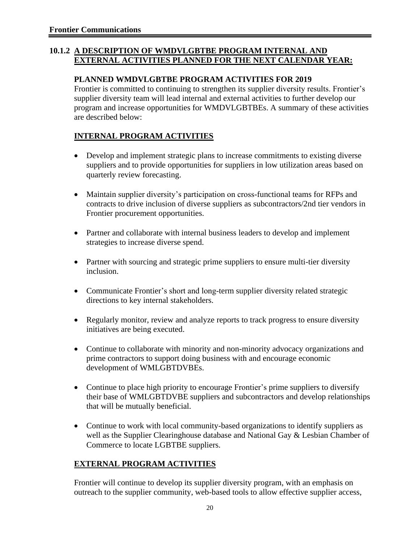#### **10.1.2 A DESCRIPTION OF WMDVLGBTBE PROGRAM INTERNAL AND EXTERNAL ACTIVITIES PLANNED FOR THE NEXT CALENDAR YEAR:**

#### **PLANNED WMDVLGBTBE PROGRAM ACTIVITIES FOR 2019**

Frontier is committed to continuing to strengthen its supplier diversity results. Frontier's supplier diversity team will lead internal and external activities to further develop our program and increase opportunities for WMDVLGBTBEs. A summary of these activities are described below:

### **INTERNAL PROGRAM ACTIVITIES**

- Develop and implement strategic plans to increase commitments to existing diverse suppliers and to provide opportunities for suppliers in low utilization areas based on quarterly review forecasting.
- Maintain supplier diversity's participation on cross-functional teams for RFPs and contracts to drive inclusion of diverse suppliers as subcontractors/2nd tier vendors in Frontier procurement opportunities.
- Partner and collaborate with internal business leaders to develop and implement strategies to increase diverse spend.
- Partner with sourcing and strategic prime suppliers to ensure multi-tier diversity inclusion.
- Communicate Frontier's short and long-term supplier diversity related strategic directions to key internal stakeholders.
- Regularly monitor, review and analyze reports to track progress to ensure diversity initiatives are being executed.
- Continue to collaborate with minority and non-minority advocacy organizations and prime contractors to support doing business with and encourage economic development of WMLGBTDVBEs.
- Continue to place high priority to encourage Frontier's prime suppliers to diversify their base of WMLGBTDVBE suppliers and subcontractors and develop relationships that will be mutually beneficial.
- Continue to work with local community-based organizations to identify suppliers as well as the Supplier Clearinghouse database and National Gay & Lesbian Chamber of Commerce to locate LGBTBE suppliers.

### **EXTERNAL PROGRAM ACTIVITIES**

Frontier will continue to develop its supplier diversity program, with an emphasis on outreach to the supplier community, web-based tools to allow effective supplier access,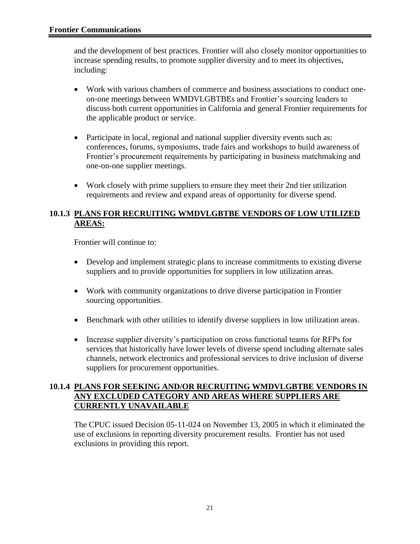and the development of best practices. Frontier will also closely monitor opportunities to increase spending results, to promote supplier diversity and to meet its objectives, including:

- Work with various chambers of commerce and business associations to conduct oneon-one meetings between WMDVLGBTBEs and Frontier's sourcing leaders to discuss both current opportunities in California and general Frontier requirements for the applicable product or service.
- Participate in local, regional and national supplier diversity events such as: conferences, forums, symposiums, trade fairs and workshops to build awareness of Frontier's procurement requirements by participating in business matchmaking and one-on-one supplier meetings.
- Work closely with prime suppliers to ensure they meet their 2nd tier utilization requirements and review and expand areas of opportunity for diverse spend.

#### **10.1.3 PLANS FOR RECRUITING WMDVLGBTBE VENDORS OF LOW UTILIZED AREAS:**

Frontier will continue to:

- Develop and implement strategic plans to increase commitments to existing diverse suppliers and to provide opportunities for suppliers in low utilization areas.
- Work with community organizations to drive diverse participation in Frontier sourcing opportunities.
- Benchmark with other utilities to identify diverse suppliers in low utilization areas.
- Increase supplier diversity's participation on cross functional teams for RFPs for services that historically have lower levels of diverse spend including alternate sales channels, network electronics and professional services to drive inclusion of diverse suppliers for procurement opportunities.

#### **10.1.4 PLANS FOR SEEKING AND/OR RECRUITING WMDVLGBTBE VENDORS IN ANY EXCLUDED CATEGORY AND AREAS WHERE SUPPLIERS ARE CURRENTLY UNAVAILABLE**

The CPUC issued Decision 05-11-024 on November 13, 2005 in which it eliminated the use of exclusions in reporting diversity procurement results. Frontier has not used exclusions in providing this report.